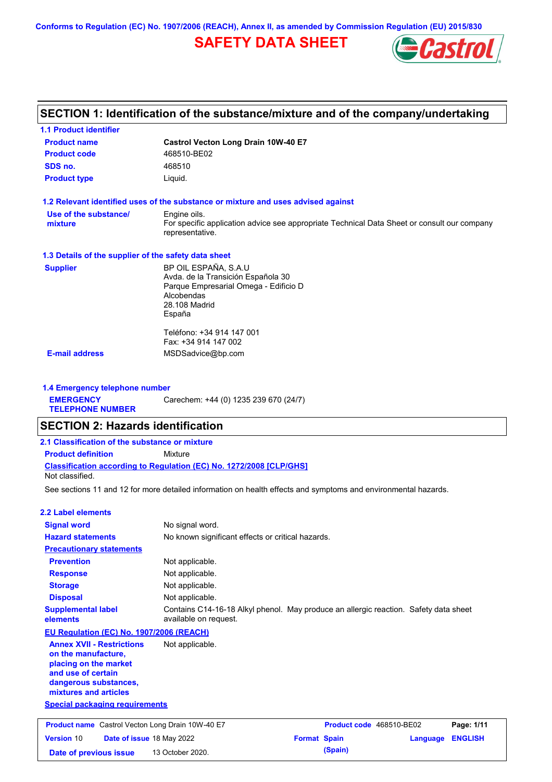**Conforms to Regulation (EC) No. 1907/2006 (REACH), Annex II, as amended by Commission Regulation (EU) 2015/830**

# **SAFETY DATA SHEET**



## **SECTION 1: Identification of the substance/mixture and of the company/undertaking**

| <b>1.1 Product identifier</b>                        |                                                                                                                |
|------------------------------------------------------|----------------------------------------------------------------------------------------------------------------|
| <b>Product name</b>                                  | Castrol Vecton Long Drain 10W-40 E7                                                                            |
| <b>Product code</b>                                  | 468510-BE02                                                                                                    |
| SDS no.                                              | 468510                                                                                                         |
| <b>Product type</b>                                  | Liquid.                                                                                                        |
|                                                      | 1.2 Relevant identified uses of the substance or mixture and uses advised against                              |
| Use of the substance/                                | Engine oils.                                                                                                   |
| mixture                                              | For specific application advice see appropriate Technical Data Sheet or consult our company<br>representative. |
| 1.3 Details of the supplier of the safety data sheet |                                                                                                                |
| <b>Supplier</b>                                      | BP OIL ESPAÑA, S.A.U                                                                                           |
|                                                      | Avda. de la Transición Española 30                                                                             |
|                                                      | Parque Empresarial Omega - Edificio D                                                                          |
|                                                      | Alcobendas                                                                                                     |
|                                                      | 28.108 Madrid<br>España                                                                                        |
|                                                      |                                                                                                                |
|                                                      | Teléfono: +34 914 147 001                                                                                      |
|                                                      | Fax: +34 914 147 002                                                                                           |
| <b>E-mail address</b>                                | MSDSadvice@bp.com                                                                                              |

**1.4 Emergency telephone number EMERGENCY TELEPHONE NUMBER** Carechem: +44 (0) 1235 239 670 (24/7)

### **SECTION 2: Hazards identification**

| 2.1 Classification of the substance or mixture |                                                                            |
|------------------------------------------------|----------------------------------------------------------------------------|
| <b>Product definition</b>                      | Mixture                                                                    |
| Not classified.                                | <b>Classification according to Regulation (EC) No. 1272/2008 ICLP/GHS1</b> |

**Date of previous issue (Spain)** 13 October 2020.

See sections 11 and 12 for more detailed information on health effects and symptoms and environmental hazards.

#### **2.2 Label elements**

| <b>Signal word</b>                                                                                                                                       | No signal word.                                                                                               |                     |                          |          |                |
|----------------------------------------------------------------------------------------------------------------------------------------------------------|---------------------------------------------------------------------------------------------------------------|---------------------|--------------------------|----------|----------------|
| <b>Hazard statements</b>                                                                                                                                 | No known significant effects or critical hazards.                                                             |                     |                          |          |                |
| <b>Precautionary statements</b>                                                                                                                          |                                                                                                               |                     |                          |          |                |
| <b>Prevention</b>                                                                                                                                        | Not applicable.                                                                                               |                     |                          |          |                |
| <b>Response</b>                                                                                                                                          | Not applicable.                                                                                               |                     |                          |          |                |
| <b>Storage</b>                                                                                                                                           | Not applicable.                                                                                               |                     |                          |          |                |
| <b>Disposal</b>                                                                                                                                          | Not applicable.                                                                                               |                     |                          |          |                |
| <b>Supplemental label</b><br>elements                                                                                                                    | Contains C14-16-18 Alkyl phenol. May produce an allergic reaction. Safety data sheet<br>available on request. |                     |                          |          |                |
| EU Regulation (EC) No. 1907/2006 (REACH)                                                                                                                 |                                                                                                               |                     |                          |          |                |
| <b>Annex XVII - Restrictions</b><br>on the manufacture,<br>placing on the market<br>and use of certain<br>dangerous substances,<br>mixtures and articles | Not applicable.                                                                                               |                     |                          |          |                |
| <b>Special packaging requirements</b>                                                                                                                    |                                                                                                               |                     |                          |          |                |
| <b>Product name</b> Castrol Vecton Long Drain 10W-40 E7                                                                                                  |                                                                                                               |                     | Product code 468510-BE02 |          | Page: 1/11     |
| <b>Version 10</b><br>Date of issue 18 May 2022                                                                                                           |                                                                                                               | <b>Format Spain</b> |                          | Language | <b>ENGLISH</b> |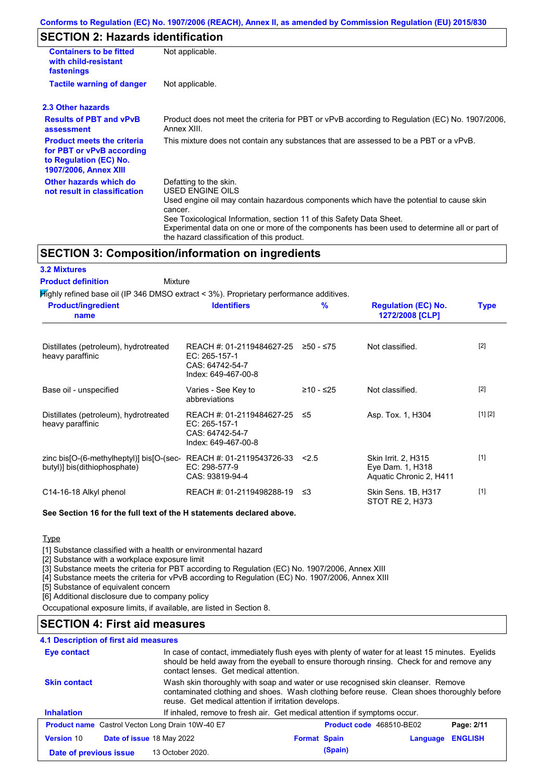### **SECTION 2: Hazards identification**

| <b>Containers to be fitted</b><br>with child-resistant<br>fastenings                                                     | Not applicable.                                                                                                                                                                                                                                                                                                                                                        |  |  |  |  |
|--------------------------------------------------------------------------------------------------------------------------|------------------------------------------------------------------------------------------------------------------------------------------------------------------------------------------------------------------------------------------------------------------------------------------------------------------------------------------------------------------------|--|--|--|--|
| <b>Tactile warning of danger</b>                                                                                         | Not applicable.                                                                                                                                                                                                                                                                                                                                                        |  |  |  |  |
| 2.3 Other hazards                                                                                                        |                                                                                                                                                                                                                                                                                                                                                                        |  |  |  |  |
| <b>Results of PBT and vPvB</b><br>assessment                                                                             | Product does not meet the criteria for PBT or vPvB according to Regulation (EC) No. 1907/2006,<br>Annex XIII.                                                                                                                                                                                                                                                          |  |  |  |  |
| <b>Product meets the criteria</b><br>for PBT or vPvB according<br>to Regulation (EC) No.<br><b>1907/2006, Annex XIII</b> | This mixture does not contain any substances that are assessed to be a PBT or a vPvB.                                                                                                                                                                                                                                                                                  |  |  |  |  |
| Other hazards which do<br>not result in classification                                                                   | Defatting to the skin.<br>USED ENGINE OILS<br>Used engine oil may contain hazardous components which have the potential to cause skin<br>cancer.<br>See Toxicological Information, section 11 of this Safety Data Sheet.<br>Experimental data on one or more of the components has been used to determine all or part of<br>the hazard classification of this product. |  |  |  |  |

#### Highly refined base oil (IP 346 DMSO extract < 3%). Proprietary performance additives. Distillates (petroleum), hydrotreated heavy paraffinic REACH #: 01-2119484627-25 EC: 265-157-1 CAS: 64742-54-7 Index: 649-467-00-8 Not classified. [2] Base oil - unspecified Varies - See Key to abbreviations  $≥10 - ≤25$  Not classified.  $[2]$ Distillates (petroleum), hydrotreated heavy paraffinic REACH #: 01-2119484627-25 EC: 265-157-1 CAS: 64742-54-7 Index: 649-467-00-8 Asp. Tox. 1, H304 [1] [2] zinc bis[O-(6-methylheptyl)] bis[O-(sec-REACH #: 01-2119543726-33 butyl)] bis(dithiophosphate) EC: 298-577-9 CAS: 93819-94-4 <2.5 Skin Irrit. 2, H315 Eye Dam. 1, H318 Aquatic Chronic 2, H411 [1] C14-16-18 Alkyl phenol REACH #: 01-2119498288-19 ≤3 Skin Sens. 1B, H317 STOT RE 2, H373 [1] **Product/ingredient name % Regulation (EC) No. Identifiers Type 1272/2008 [CLP] Mixture Product definition**

**See Section 16 for the full text of the H statements declared above.**

### **Type**

**3.2 Mixtures**

[1] Substance classified with a health or environmental hazard

[2] Substance with a workplace exposure limit

[3] Substance meets the criteria for PBT according to Regulation (EC) No. 1907/2006, Annex XIII

[4] Substance meets the criteria for vPvB according to Regulation (EC) No. 1907/2006, Annex XIII

[5] Substance of equivalent concern

[6] Additional disclosure due to company policy

Occupational exposure limits, if available, are listed in Section 8.

### **SECTION 4: First aid measures**

### **4.1 Description of first aid measures**

| Eye contact                                             | In case of contact, immediately flush eyes with plenty of water for at least 15 minutes. Eyelids<br>should be held away from the eyeball to ensure thorough rinsing. Check for and remove any<br>contact lenses. Get medical attention. |                          |          |                |
|---------------------------------------------------------|-----------------------------------------------------------------------------------------------------------------------------------------------------------------------------------------------------------------------------------------|--------------------------|----------|----------------|
| <b>Skin contact</b>                                     | Wash skin thoroughly with soap and water or use recognised skin cleanser. Remove<br>contaminated clothing and shoes. Wash clothing before reuse. Clean shoes thoroughly before<br>reuse. Get medical attention if irritation develops.  |                          |          |                |
| <b>Inhalation</b>                                       | If inhaled, remove to fresh air. Get medical attention if symptoms occur.                                                                                                                                                               |                          |          |                |
| <b>Product name</b> Castrol Vecton Long Drain 10W-40 E7 |                                                                                                                                                                                                                                         | Product code 468510-BE02 |          | Page: 2/11     |
| Date of issue 18 May 2022<br><b>Version 10</b>          |                                                                                                                                                                                                                                         | <b>Format Spain</b>      | Language | <b>ENGLISH</b> |
| Date of previous issue                                  | 13 October 2020.                                                                                                                                                                                                                        | (Spain)                  |          |                |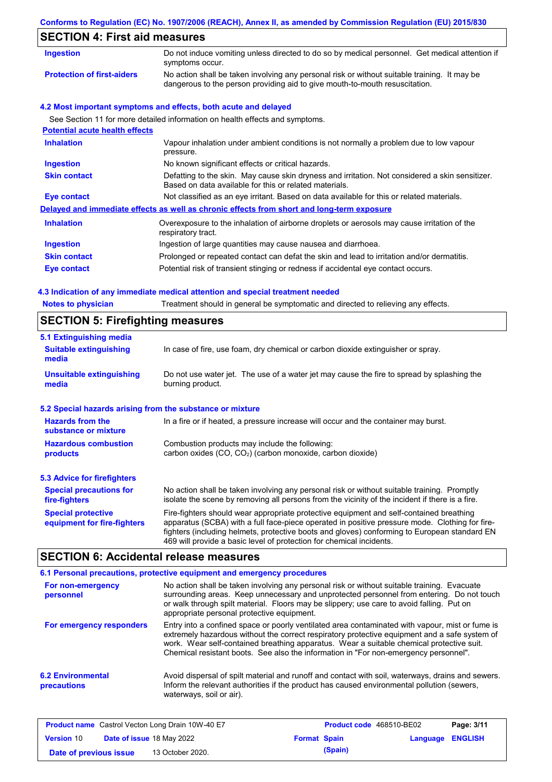### **Conforms to Regulation (EC) No. 1907/2006 (REACH), Annex II, as amended by Commission Regulation (EU) 2015/830**

# **SECTION 4: First aid measures**

| <b>Ingestion</b>                      | Do not induce vomiting unless directed to do so by medical personnel. Get medical attention if<br>symptoms occur.                                                           |
|---------------------------------------|-----------------------------------------------------------------------------------------------------------------------------------------------------------------------------|
| <b>Protection of first-aiders</b>     | No action shall be taken involving any personal risk or without suitable training. It may be<br>dangerous to the person providing aid to give mouth-to-mouth resuscitation. |
|                                       | 4.2 Most important symptoms and effects, both acute and delayed                                                                                                             |
|                                       | See Section 11 for more detailed information on health effects and symptoms.                                                                                                |
| <b>Potential acute health effects</b> |                                                                                                                                                                             |
| <b>Inhalation</b>                     | Vapour inhalation under ambient conditions is not normally a problem due to low vapour<br>pressure.                                                                         |
| Ingestion                             | No known significant effects or critical hazards.                                                                                                                           |
| <b>Skin contact</b>                   | Defatting to the skin. May cause skin dryness and irritation. Not considered a skin sensitizer.<br>Based on data available for this or related materials.                   |
| Eye contact                           | Not classified as an eye irritant. Based on data available for this or related materials.                                                                                   |
|                                       | Delayed and immediate effects as well as chronic effects from short and long-term exposure                                                                                  |
| <b>Inhalation</b>                     | Overexposure to the inhalation of airborne droplets or aerosols may cause irritation of the<br>respiratory tract.                                                           |
| Ingestion                             | Ingestion of large quantities may cause nausea and diarrhoea.                                                                                                               |
| <b>Skin contact</b>                   | Prolonged or repeated contact can defat the skin and lead to irritation and/or dermatitis.                                                                                  |
|                                       |                                                                                                                                                                             |

#### **4.3 Indication of any immediate medical attention and special treatment needed**

| <b>Notes to physician</b> |                                                                                   |  |
|---------------------------|-----------------------------------------------------------------------------------|--|
|                           | Treatment should in general be symptomatic and directed to relieving any effects. |  |

| <b>SECTION 5: Firefighting measures</b>                   |                                                                                                                                                                                                                                                                                                                                                                   |  |  |  |
|-----------------------------------------------------------|-------------------------------------------------------------------------------------------------------------------------------------------------------------------------------------------------------------------------------------------------------------------------------------------------------------------------------------------------------------------|--|--|--|
| 5.1 Extinguishing media                                   |                                                                                                                                                                                                                                                                                                                                                                   |  |  |  |
| <b>Suitable extinguishing</b><br>media                    | In case of fire, use foam, dry chemical or carbon dioxide extinguisher or spray.                                                                                                                                                                                                                                                                                  |  |  |  |
| <b>Unsuitable extinguishing</b><br>media                  | Do not use water jet. The use of a water jet may cause the fire to spread by splashing the<br>burning product.                                                                                                                                                                                                                                                    |  |  |  |
| 5.2 Special hazards arising from the substance or mixture |                                                                                                                                                                                                                                                                                                                                                                   |  |  |  |
| <b>Hazards from the</b><br>substance or mixture           | In a fire or if heated, a pressure increase will occur and the container may burst.                                                                                                                                                                                                                                                                               |  |  |  |
| <b>Hazardous combustion</b><br>products                   | Combustion products may include the following:<br>carbon oxides (CO, CO <sub>2</sub> ) (carbon monoxide, carbon dioxide)                                                                                                                                                                                                                                          |  |  |  |
| 5.3 Advice for firefighters                               |                                                                                                                                                                                                                                                                                                                                                                   |  |  |  |
| <b>Special precautions for</b><br>fire-fighters           | No action shall be taken involving any personal risk or without suitable training. Promptly<br>isolate the scene by removing all persons from the vicinity of the incident if there is a fire.                                                                                                                                                                    |  |  |  |
| <b>Special protective</b><br>equipment for fire-fighters  | Fire-fighters should wear appropriate protective equipment and self-contained breathing<br>apparatus (SCBA) with a full face-piece operated in positive pressure mode. Clothing for fire-<br>fighters (including helmets, protective boots and gloves) conforming to European standard EN<br>469 will provide a basic level of protection for chemical incidents. |  |  |  |

# **SECTION 6: Accidental release measures**

|                                         | 6.1 Personal precautions, protective equipment and emergency procedures                                                                                                                                                                                                                                                                                                              |
|-----------------------------------------|--------------------------------------------------------------------------------------------------------------------------------------------------------------------------------------------------------------------------------------------------------------------------------------------------------------------------------------------------------------------------------------|
| For non-emergency<br>personnel          | No action shall be taken involving any personal risk or without suitable training. Evacuate<br>surrounding areas. Keep unnecessary and unprotected personnel from entering. Do not touch<br>or walk through spilt material. Floors may be slippery; use care to avoid falling. Put on<br>appropriate personal protective equipment.                                                  |
| For emergency responders                | Entry into a confined space or poorly ventilated area contaminated with vapour, mist or fume is<br>extremely hazardous without the correct respiratory protective equipment and a safe system of<br>work. Wear self-contained breathing apparatus. Wear a suitable chemical protective suit.<br>Chemical resistant boots. See also the information in "For non-emergency personnel". |
| <b>6.2 Environmental</b><br>precautions | Avoid dispersal of spilt material and runoff and contact with soil, waterways, drains and sewers.<br>Inform the relevant authorities if the product has caused environmental pollution (sewers,<br>waterways, soil or air).                                                                                                                                                          |

|                        |                                  | <b>Product name</b> Castrol Vecton Long Drain 10W-40 E7 |                     | Product code 468510-BE02 |                         | Page: 3/11 |
|------------------------|----------------------------------|---------------------------------------------------------|---------------------|--------------------------|-------------------------|------------|
| <b>Version 10</b>      | <b>Date of issue 18 May 2022</b> |                                                         | <b>Format Spain</b> |                          | <b>Language ENGLISH</b> |            |
| Date of previous issue |                                  | 13 October 2020.                                        |                     | (Spain)                  |                         |            |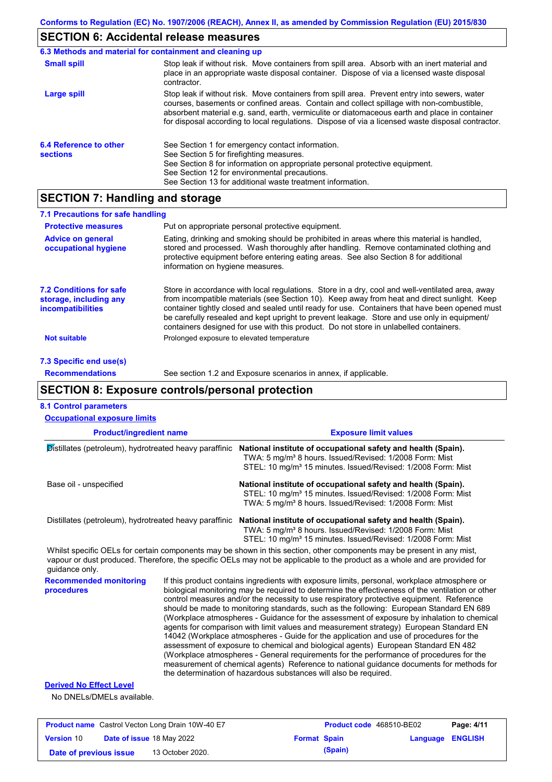# **SECTION 6: Accidental release measures**

|                                           | 6.3 Methods and material for containment and cleaning up                                                                                                                                                                                                                                                                                                                                       |
|-------------------------------------------|------------------------------------------------------------------------------------------------------------------------------------------------------------------------------------------------------------------------------------------------------------------------------------------------------------------------------------------------------------------------------------------------|
| <b>Small spill</b>                        | Stop leak if without risk. Move containers from spill area. Absorb with an inert material and<br>place in an appropriate waste disposal container. Dispose of via a licensed waste disposal<br>contractor.                                                                                                                                                                                     |
| Large spill                               | Stop leak if without risk. Move containers from spill area. Prevent entry into sewers, water<br>courses, basements or confined areas. Contain and collect spillage with non-combustible,<br>absorbent material e.g. sand, earth, vermiculite or diatomaceous earth and place in container<br>for disposal according to local regulations. Dispose of via a licensed waste disposal contractor. |
| 6.4 Reference to other<br><b>sections</b> | See Section 1 for emergency contact information.<br>See Section 5 for firefighting measures.<br>See Section 8 for information on appropriate personal protective equipment.<br>See Section 12 for environmental precautions.<br>See Section 13 for additional waste treatment information.                                                                                                     |

# **SECTION 7: Handling and storage**

**Version** 10

| 7.1 Precautions for safe handling                                                    |                                                                                                                                                                                                                                                                                                                                                                                                                                                                                          |
|--------------------------------------------------------------------------------------|------------------------------------------------------------------------------------------------------------------------------------------------------------------------------------------------------------------------------------------------------------------------------------------------------------------------------------------------------------------------------------------------------------------------------------------------------------------------------------------|
| <b>Protective measures</b>                                                           | Put on appropriate personal protective equipment.                                                                                                                                                                                                                                                                                                                                                                                                                                        |
| <b>Advice on general</b><br>occupational hygiene                                     | Eating, drinking and smoking should be prohibited in areas where this material is handled,<br>stored and processed. Wash thoroughly after handling. Remove contaminated clothing and<br>protective equipment before entering eating areas. See also Section 8 for additional<br>information on hygiene measures.                                                                                                                                                                         |
| <b>7.2 Conditions for safe</b><br>storage, including any<br><i>incompatibilities</i> | Store in accordance with local regulations. Store in a dry, cool and well-ventilated area, away<br>from incompatible materials (see Section 10). Keep away from heat and direct sunlight. Keep<br>container tightly closed and sealed until ready for use. Containers that have been opened must<br>be carefully resealed and kept upright to prevent leakage. Store and use only in equipment/<br>containers designed for use with this product. Do not store in unlabelled containers. |
| <b>Not suitable</b>                                                                  | Prolonged exposure to elevated temperature                                                                                                                                                                                                                                                                                                                                                                                                                                               |
| 7.3 Specific end use(s)                                                              |                                                                                                                                                                                                                                                                                                                                                                                                                                                                                          |
| <b>Recommendations</b>                                                               | See section 1.2 and Exposure scenarios in annex, if applicable.                                                                                                                                                                                                                                                                                                                                                                                                                          |

# **SECTION 8: Exposure controls/personal protection**

**Date of previous issue (Spain)** 13 October 2020.

| <b>Occupational exposure limits</b><br><b>Product/ingredient name</b> |  | <b>Exposure limit values</b>                                                                                                                                                                                                                                                                                                                                                                                                                                                                                                                                                                                                                                                                                                                                                                                                                               |  |  |  |  |
|-----------------------------------------------------------------------|--|------------------------------------------------------------------------------------------------------------------------------------------------------------------------------------------------------------------------------------------------------------------------------------------------------------------------------------------------------------------------------------------------------------------------------------------------------------------------------------------------------------------------------------------------------------------------------------------------------------------------------------------------------------------------------------------------------------------------------------------------------------------------------------------------------------------------------------------------------------|--|--|--|--|
| Distillates (petroleum), hydrotreated heavy paraffinic                |  | National institute of occupational safety and health (Spain).<br>TWA: 5 mg/m <sup>3</sup> 8 hours. Issued/Revised: 1/2008 Form: Mist<br>STEL: 10 mg/m <sup>3</sup> 15 minutes. Issued/Revised: 1/2008 Form: Mist                                                                                                                                                                                                                                                                                                                                                                                                                                                                                                                                                                                                                                           |  |  |  |  |
| Base oil - unspecified                                                |  | National institute of occupational safety and health (Spain).<br>STEL: 10 mg/m <sup>3</sup> 15 minutes. Issued/Revised: 1/2008 Form: Mist<br>TWA: 5 mg/m <sup>3</sup> 8 hours. Issued/Revised: 1/2008 Form: Mist                                                                                                                                                                                                                                                                                                                                                                                                                                                                                                                                                                                                                                           |  |  |  |  |
|                                                                       |  | Distillates (petroleum), hydrotreated heavy paraffinic National institute of occupational safety and health (Spain).<br>TWA: 5 mg/m <sup>3</sup> 8 hours. Issued/Revised: 1/2008 Form: Mist<br>STEL: 10 mg/m <sup>3</sup> 15 minutes. Issued/Revised: 1/2008 Form: Mist                                                                                                                                                                                                                                                                                                                                                                                                                                                                                                                                                                                    |  |  |  |  |
| guidance only.                                                        |  | Whilst specific OELs for certain components may be shown in this section, other components may be present in any mist,<br>vapour or dust produced. Therefore, the specific OELs may not be applicable to the product as a whole and are provided for                                                                                                                                                                                                                                                                                                                                                                                                                                                                                                                                                                                                       |  |  |  |  |
| <b>Recommended monitoring</b><br>procedures                           |  | If this product contains ingredients with exposure limits, personal, workplace atmosphere or<br>biological monitoring may be required to determine the effectiveness of the ventilation or other<br>control measures and/or the necessity to use respiratory protective equipment. Reference<br>should be made to monitoring standards, such as the following: European Standard EN 689<br>(Workplace atmospheres - Guidance for the assessment of exposure by inhalation to chemical<br>agents for comparison with limit values and measurement strategy) European Standard EN<br>14042 (Workplace atmospheres - Guide for the application and use of procedures for the<br>assessment of exposure to chemical and biological agents) European Standard EN 482<br>(Workplace atmospheres - General requirements for the performance of procedures for the |  |  |  |  |
|                                                                       |  | measurement of chemical agents) Reference to national guidance documents for methods for<br>the determination of hazardous substances will also be required.                                                                                                                                                                                                                                                                                                                                                                                                                                                                                                                                                                                                                                                                                               |  |  |  |  |
| <b>Derived No Effect Level</b>                                        |  |                                                                                                                                                                                                                                                                                                                                                                                                                                                                                                                                                                                                                                                                                                                                                                                                                                                            |  |  |  |  |

**Date of issue** 18 May 2022 **Format Spain Language ENGLISH**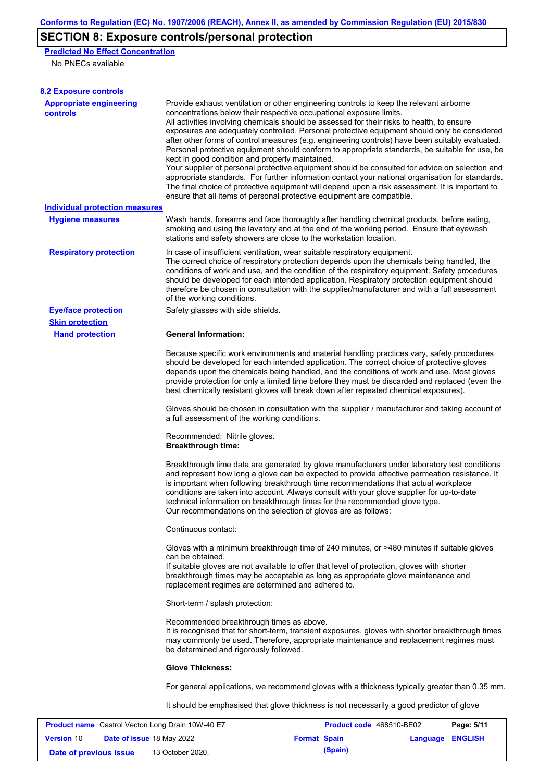# **SECTION 8: Exposure controls/personal protection**

**Predicted No Effect Concentration**

No PNECs available

| <b>8.2 Exposure controls</b>                     |                                                                                                                                                                                                                                                                                                                                                                                                                                                                                                                                                                                                                                                                                                                                                                                                                                                                                                                                                                                                         |                          |                  |            |  |
|--------------------------------------------------|---------------------------------------------------------------------------------------------------------------------------------------------------------------------------------------------------------------------------------------------------------------------------------------------------------------------------------------------------------------------------------------------------------------------------------------------------------------------------------------------------------------------------------------------------------------------------------------------------------------------------------------------------------------------------------------------------------------------------------------------------------------------------------------------------------------------------------------------------------------------------------------------------------------------------------------------------------------------------------------------------------|--------------------------|------------------|------------|--|
| <b>Appropriate engineering</b><br>controls       | Provide exhaust ventilation or other engineering controls to keep the relevant airborne<br>concentrations below their respective occupational exposure limits.<br>All activities involving chemicals should be assessed for their risks to health, to ensure<br>exposures are adequately controlled. Personal protective equipment should only be considered<br>after other forms of control measures (e.g. engineering controls) have been suitably evaluated.<br>Personal protective equipment should conform to appropriate standards, be suitable for use, be<br>kept in good condition and properly maintained.<br>Your supplier of personal protective equipment should be consulted for advice on selection and<br>appropriate standards. For further information contact your national organisation for standards.<br>The final choice of protective equipment will depend upon a risk assessment. It is important to<br>ensure that all items of personal protective equipment are compatible. |                          |                  |            |  |
| <b>Individual protection measures</b>            |                                                                                                                                                                                                                                                                                                                                                                                                                                                                                                                                                                                                                                                                                                                                                                                                                                                                                                                                                                                                         |                          |                  |            |  |
| <b>Hygiene measures</b>                          | Wash hands, forearms and face thoroughly after handling chemical products, before eating,<br>smoking and using the lavatory and at the end of the working period. Ensure that eyewash<br>stations and safety showers are close to the workstation location.                                                                                                                                                                                                                                                                                                                                                                                                                                                                                                                                                                                                                                                                                                                                             |                          |                  |            |  |
| <b>Respiratory protection</b>                    | In case of insufficient ventilation, wear suitable respiratory equipment.<br>The correct choice of respiratory protection depends upon the chemicals being handled, the<br>conditions of work and use, and the condition of the respiratory equipment. Safety procedures<br>should be developed for each intended application. Respiratory protection equipment should<br>therefore be chosen in consultation with the supplier/manufacturer and with a full assessment<br>of the working conditions.                                                                                                                                                                                                                                                                                                                                                                                                                                                                                                   |                          |                  |            |  |
| <b>Eye/face protection</b>                       | Safety glasses with side shields.                                                                                                                                                                                                                                                                                                                                                                                                                                                                                                                                                                                                                                                                                                                                                                                                                                                                                                                                                                       |                          |                  |            |  |
| <b>Skin protection</b>                           |                                                                                                                                                                                                                                                                                                                                                                                                                                                                                                                                                                                                                                                                                                                                                                                                                                                                                                                                                                                                         |                          |                  |            |  |
| <b>Hand protection</b>                           | <b>General Information:</b>                                                                                                                                                                                                                                                                                                                                                                                                                                                                                                                                                                                                                                                                                                                                                                                                                                                                                                                                                                             |                          |                  |            |  |
|                                                  | Because specific work environments and material handling practices vary, safety procedures<br>should be developed for each intended application. The correct choice of protective gloves<br>depends upon the chemicals being handled, and the conditions of work and use. Most gloves<br>provide protection for only a limited time before they must be discarded and replaced (even the<br>best chemically resistant gloves will break down after repeated chemical exposures).                                                                                                                                                                                                                                                                                                                                                                                                                                                                                                                        |                          |                  |            |  |
|                                                  | Gloves should be chosen in consultation with the supplier / manufacturer and taking account of<br>a full assessment of the working conditions.                                                                                                                                                                                                                                                                                                                                                                                                                                                                                                                                                                                                                                                                                                                                                                                                                                                          |                          |                  |            |  |
|                                                  | Recommended: Nitrile gloves.<br><b>Breakthrough time:</b>                                                                                                                                                                                                                                                                                                                                                                                                                                                                                                                                                                                                                                                                                                                                                                                                                                                                                                                                               |                          |                  |            |  |
|                                                  | Breakthrough time data are generated by glove manufacturers under laboratory test conditions<br>and represent how long a glove can be expected to provide effective permeation resistance. It<br>is important when following breakthrough time recommendations that actual workplace<br>conditions are taken into account. Always consult with your glove supplier for up-to-date<br>technical information on breakthrough times for the recommended glove type.<br>Our recommendations on the selection of gloves are as follows:                                                                                                                                                                                                                                                                                                                                                                                                                                                                      |                          |                  |            |  |
|                                                  | Continuous contact:                                                                                                                                                                                                                                                                                                                                                                                                                                                                                                                                                                                                                                                                                                                                                                                                                                                                                                                                                                                     |                          |                  |            |  |
|                                                  | Gloves with a minimum breakthrough time of 240 minutes, or >480 minutes if suitable gloves<br>can be obtained.<br>If suitable gloves are not available to offer that level of protection, gloves with shorter<br>breakthrough times may be acceptable as long as appropriate glove maintenance and<br>replacement regimes are determined and adhered to.                                                                                                                                                                                                                                                                                                                                                                                                                                                                                                                                                                                                                                                |                          |                  |            |  |
|                                                  | Short-term / splash protection:                                                                                                                                                                                                                                                                                                                                                                                                                                                                                                                                                                                                                                                                                                                                                                                                                                                                                                                                                                         |                          |                  |            |  |
|                                                  | Recommended breakthrough times as above.<br>It is recognised that for short-term, transient exposures, gloves with shorter breakthrough times<br>may commonly be used. Therefore, appropriate maintenance and replacement regimes must<br>be determined and rigorously followed.                                                                                                                                                                                                                                                                                                                                                                                                                                                                                                                                                                                                                                                                                                                        |                          |                  |            |  |
|                                                  | <b>Glove Thickness:</b>                                                                                                                                                                                                                                                                                                                                                                                                                                                                                                                                                                                                                                                                                                                                                                                                                                                                                                                                                                                 |                          |                  |            |  |
|                                                  | For general applications, we recommend gloves with a thickness typically greater than 0.35 mm.                                                                                                                                                                                                                                                                                                                                                                                                                                                                                                                                                                                                                                                                                                                                                                                                                                                                                                          |                          |                  |            |  |
|                                                  | It should be emphasised that glove thickness is not necessarily a good predictor of glove                                                                                                                                                                                                                                                                                                                                                                                                                                                                                                                                                                                                                                                                                                                                                                                                                                                                                                               |                          |                  |            |  |
| Product name Castrol Vecton Long Drain 10W-40 E7 |                                                                                                                                                                                                                                                                                                                                                                                                                                                                                                                                                                                                                                                                                                                                                                                                                                                                                                                                                                                                         | Product code 468510-BE02 |                  | Page: 5/11 |  |
| <b>Version 10</b><br>Date of issue 18 May 2022   |                                                                                                                                                                                                                                                                                                                                                                                                                                                                                                                                                                                                                                                                                                                                                                                                                                                                                                                                                                                                         | <b>Format Spain</b>      | Language ENGLISH |            |  |

**Date of previous issue 13 October 2020. (Spain) (Spain)**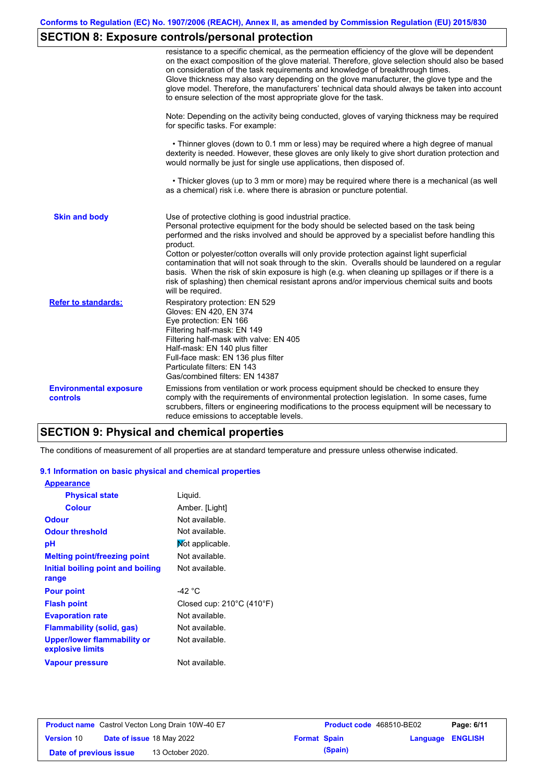# **SECTION 8: Exposure controls/personal protection**

|                                           | resistance to a specific chemical, as the permeation efficiency of the glove will be dependent<br>on the exact composition of the glove material. Therefore, glove selection should also be based<br>on consideration of the task requirements and knowledge of breakthrough times.<br>Glove thickness may also vary depending on the glove manufacturer, the glove type and the<br>glove model. Therefore, the manufacturers' technical data should always be taken into account<br>to ensure selection of the most appropriate glove for the task.                                                                                                                                  |
|-------------------------------------------|---------------------------------------------------------------------------------------------------------------------------------------------------------------------------------------------------------------------------------------------------------------------------------------------------------------------------------------------------------------------------------------------------------------------------------------------------------------------------------------------------------------------------------------------------------------------------------------------------------------------------------------------------------------------------------------|
|                                           | Note: Depending on the activity being conducted, gloves of varying thickness may be required<br>for specific tasks. For example:                                                                                                                                                                                                                                                                                                                                                                                                                                                                                                                                                      |
|                                           | • Thinner gloves (down to 0.1 mm or less) may be required where a high degree of manual<br>dexterity is needed. However, these gloves are only likely to give short duration protection and<br>would normally be just for single use applications, then disposed of.                                                                                                                                                                                                                                                                                                                                                                                                                  |
|                                           | • Thicker gloves (up to 3 mm or more) may be required where there is a mechanical (as well<br>as a chemical) risk i.e. where there is abrasion or puncture potential.                                                                                                                                                                                                                                                                                                                                                                                                                                                                                                                 |
| <b>Skin and body</b>                      | Use of protective clothing is good industrial practice.<br>Personal protective equipment for the body should be selected based on the task being<br>performed and the risks involved and should be approved by a specialist before handling this<br>product.<br>Cotton or polyester/cotton overalls will only provide protection against light superficial<br>contamination that will not soak through to the skin. Overalls should be laundered on a regular<br>basis. When the risk of skin exposure is high (e.g. when cleaning up spillages or if there is a<br>risk of splashing) then chemical resistant aprons and/or impervious chemical suits and boots<br>will be required. |
| <b>Refer to standards:</b>                | Respiratory protection: EN 529<br>Gloves: EN 420, EN 374<br>Eye protection: EN 166<br>Filtering half-mask: EN 149<br>Filtering half-mask with valve: EN 405<br>Half-mask: EN 140 plus filter<br>Full-face mask: EN 136 plus filter<br>Particulate filters: EN 143<br>Gas/combined filters: EN 14387                                                                                                                                                                                                                                                                                                                                                                                   |
| <b>Environmental exposure</b><br>controls | Emissions from ventilation or work process equipment should be checked to ensure they<br>comply with the requirements of environmental protection legislation. In some cases, fume<br>scrubbers, filters or engineering modifications to the process equipment will be necessary to<br>reduce emissions to acceptable levels.                                                                                                                                                                                                                                                                                                                                                         |

## **SECTION 9: Physical and chemical properties**

The conditions of measurement of all properties are at standard temperature and pressure unless otherwise indicated.

### **9.1 Information on basic physical and chemical properties**

| <b>Appearance</b>                               |                                     |
|-------------------------------------------------|-------------------------------------|
| <b>Physical state</b>                           | Liquid.                             |
| <b>Colour</b>                                   | Amber. [Light]                      |
| <b>Odour</b>                                    | Not available.                      |
| <b>Odour threshold</b>                          | Not available.                      |
| рH                                              | Mot applicable.                     |
| <b>Melting point/freezing point</b>             | Not available.                      |
| <b>Initial boiling point and boiling</b>        | Not available.                      |
| range                                           |                                     |
| <b>Pour point</b>                               | -42 °C                              |
| <b>Flash point</b>                              | Closed cup: $210^{\circ}$ C (410°F) |
| <b>Evaporation rate</b>                         | Not available.                      |
| Flammability (solid, gas)                       | Not available.                      |
| Upper/lower flammability or<br>explosive limits | Not available.                      |
| <b>Vapour pressure</b>                          | Not available.                      |

| <b>Product name</b> Castrol Vecton Long Drain 10W-40 E7 |                                  |                  | <b>Product code</b> 468510-BE02 | Page: 6/11 |                         |  |
|---------------------------------------------------------|----------------------------------|------------------|---------------------------------|------------|-------------------------|--|
| <b>Version 10</b>                                       | <b>Date of issue 18 May 2022</b> |                  | <b>Format Spain</b>             |            | <b>Language ENGLISH</b> |  |
| Date of previous issue                                  |                                  | 13 October 2020. |                                 | (Spain)    |                         |  |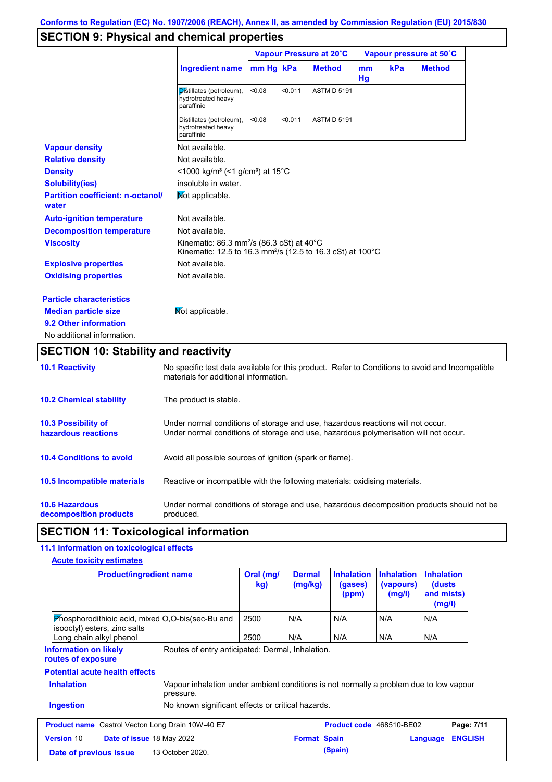# **SECTION 9: Physical and chemical properties**

|                                                   |                                                                                                                                           | Vapour Pressure at 20°C |         |                    | Vapour pressure at 50°C |     |               |
|---------------------------------------------------|-------------------------------------------------------------------------------------------------------------------------------------------|-------------------------|---------|--------------------|-------------------------|-----|---------------|
|                                                   | <b>Ingredient name</b>                                                                                                                    | mm Hq kPa               |         | <b>Method</b>      | mm<br>Hg                | kPa | <b>Method</b> |
|                                                   | Distillates (petroleum),<br>hydrotreated heavy<br>paraffinic                                                                              | < 0.08                  | < 0.011 | <b>ASTM D 5191</b> |                         |     |               |
|                                                   | Distillates (petroleum),<br>hydrotreated heavy<br>paraffinic                                                                              | < 0.08                  | < 0.011 | <b>ASTM D 5191</b> |                         |     |               |
| <b>Vapour density</b>                             | Not available.                                                                                                                            |                         |         |                    |                         |     |               |
| <b>Relative density</b>                           | Not available.                                                                                                                            |                         |         |                    |                         |     |               |
| <b>Density</b>                                    | <1000 kg/m <sup>3</sup> (<1 g/cm <sup>3</sup> ) at 15°C                                                                                   |                         |         |                    |                         |     |               |
| <b>Solubility(ies)</b>                            | insoluble in water.                                                                                                                       |                         |         |                    |                         |     |               |
| <b>Partition coefficient: n-octanol/</b><br>water | Mot applicable.                                                                                                                           |                         |         |                    |                         |     |               |
| <b>Auto-ignition temperature</b>                  | Not available.                                                                                                                            |                         |         |                    |                         |     |               |
| <b>Decomposition temperature</b>                  | Not available.                                                                                                                            |                         |         |                    |                         |     |               |
| <b>Viscosity</b>                                  | Kinematic: 86.3 mm <sup>2</sup> /s (86.3 cSt) at $40^{\circ}$ C<br>Kinematic: 12.5 to 16.3 mm <sup>2</sup> /s (12.5 to 16.3 cSt) at 100°C |                         |         |                    |                         |     |               |
| <b>Explosive properties</b>                       | Not available.                                                                                                                            |                         |         |                    |                         |     |               |
| <b>Oxidising properties</b>                       | Not available.                                                                                                                            |                         |         |                    |                         |     |               |
| <b>Particle characteristics</b>                   |                                                                                                                                           |                         |         |                    |                         |     |               |
| <b>Median particle size</b>                       | Not applicable.                                                                                                                           |                         |         |                    |                         |     |               |
| 9.2 Other information                             |                                                                                                                                           |                         |         |                    |                         |     |               |
| No additional information.                        |                                                                                                                                           |                         |         |                    |                         |     |               |

# **SECTION 10: Stability and reactivity**

| <b>10.1 Reactivity</b>                            | No specific test data available for this product. Refer to Conditions to avoid and Incompatible<br>materials for additional information.                                |
|---------------------------------------------------|-------------------------------------------------------------------------------------------------------------------------------------------------------------------------|
| <b>10.2 Chemical stability</b>                    | The product is stable.                                                                                                                                                  |
| <b>10.3 Possibility of</b><br>hazardous reactions | Under normal conditions of storage and use, hazardous reactions will not occur.<br>Under normal conditions of storage and use, hazardous polymerisation will not occur. |
| <b>10.4 Conditions to avoid</b>                   | Avoid all possible sources of ignition (spark or flame).                                                                                                                |
| 10.5 Incompatible materials                       | Reactive or incompatible with the following materials: oxidising materials.                                                                                             |
| <b>10.6 Hazardous</b><br>decomposition products   | Under normal conditions of storage and use, hazardous decomposition products should not be<br>produced.                                                                 |

# **SECTION 11: Toxicological information**

### **11.1 Information on toxicological effects**

| <b>Acute toxicity estimates</b>                                                                                                                 |                  |                          |                                       |                                          |                                                      |                |
|-------------------------------------------------------------------------------------------------------------------------------------------------|------------------|--------------------------|---------------------------------------|------------------------------------------|------------------------------------------------------|----------------|
| <b>Product/ingredient name</b>                                                                                                                  | Oral (mg/<br>kg) | <b>Dermal</b><br>(mg/kg) | <b>Inhalation</b><br>(gases)<br>(ppm) | <b>Inhalation</b><br>(vapours)<br>(mg/l) | <b>Inhalation</b><br>(dusts)<br>and mists)<br>(mg/l) |                |
| Phosphorodithioic acid, mixed O,O-bis(sec-Bu and<br>isooctyl) esters, zinc salts                                                                | 2500             | N/A                      | N/A                                   | N/A                                      | N/A                                                  |                |
| Long chain alkyl phenol                                                                                                                         | 2500             | N/A                      | N/A                                   | N/A                                      | N/A                                                  |                |
| Routes of entry anticipated: Dermal, Inhalation.<br><b>Information on likely</b><br>routes of exposure<br><b>Potential acute health effects</b> |                  |                          |                                       |                                          |                                                      |                |
| <b>Inhalation</b><br>Vapour inhalation under ambient conditions is not normally a problem due to low vapour<br>pressure.                        |                  |                          |                                       |                                          |                                                      |                |
| No known significant effects or critical hazards.<br><b>Ingestion</b>                                                                           |                  |                          |                                       |                                          |                                                      |                |
| <b>Product name</b> Castrol Vecton Long Drain 10W-40 E7                                                                                         |                  |                          | Product code 468510-BE02              |                                          |                                                      | Page: 7/11     |
| <b>Version 10</b><br><b>Date of issue 18 May 2022</b>                                                                                           |                  | <b>Format Spain</b>      |                                       |                                          | Language                                             | <b>ENGLISH</b> |
| 13 October 2020.<br>Date of previous issue                                                                                                      |                  |                          | (Spain)                               |                                          |                                                      |                |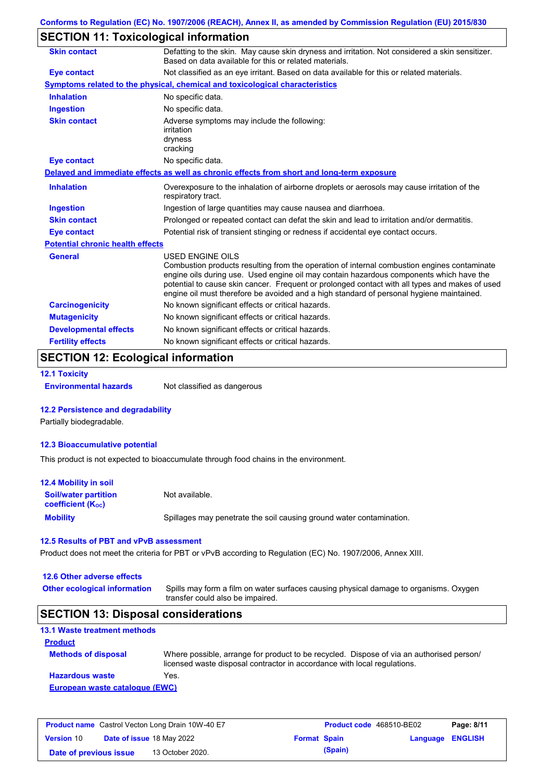# **SECTION 11: Toxicological information**

| <b>Skin contact</b>                     | Defatting to the skin. May cause skin dryness and irritation. Not considered a skin sensitizer.<br>Based on data available for this or related materials.                                                                                                                                                                                                                                                       |
|-----------------------------------------|-----------------------------------------------------------------------------------------------------------------------------------------------------------------------------------------------------------------------------------------------------------------------------------------------------------------------------------------------------------------------------------------------------------------|
| <b>Eye contact</b>                      | Not classified as an eye irritant. Based on data available for this or related materials.                                                                                                                                                                                                                                                                                                                       |
|                                         | Symptoms related to the physical, chemical and toxicological characteristics                                                                                                                                                                                                                                                                                                                                    |
| <b>Inhalation</b>                       | No specific data.                                                                                                                                                                                                                                                                                                                                                                                               |
| <b>Ingestion</b>                        | No specific data.                                                                                                                                                                                                                                                                                                                                                                                               |
| <b>Skin contact</b>                     | Adverse symptoms may include the following:<br>irritation<br>dryness<br>cracking                                                                                                                                                                                                                                                                                                                                |
| <b>Eye contact</b>                      | No specific data.                                                                                                                                                                                                                                                                                                                                                                                               |
|                                         | Delayed and immediate effects as well as chronic effects from short and long-term exposure                                                                                                                                                                                                                                                                                                                      |
| <b>Inhalation</b>                       | Overexposure to the inhalation of airborne droplets or aerosols may cause irritation of the<br>respiratory tract.                                                                                                                                                                                                                                                                                               |
| <b>Ingestion</b>                        | Ingestion of large quantities may cause nausea and diarrhoea.                                                                                                                                                                                                                                                                                                                                                   |
| <b>Skin contact</b>                     | Prolonged or repeated contact can defat the skin and lead to irritation and/or dermatitis.                                                                                                                                                                                                                                                                                                                      |
| <b>Eye contact</b>                      | Potential risk of transient stinging or redness if accidental eye contact occurs.                                                                                                                                                                                                                                                                                                                               |
| <b>Potential chronic health effects</b> |                                                                                                                                                                                                                                                                                                                                                                                                                 |
| General                                 | <b>USED ENGINE OILS</b><br>Combustion products resulting from the operation of internal combustion engines contaminate<br>engine oils during use. Used engine oil may contain hazardous components which have the<br>potential to cause skin cancer. Frequent or prolonged contact with all types and makes of used<br>engine oil must therefore be avoided and a high standard of personal hygiene maintained. |
| <b>Carcinogenicity</b>                  | No known significant effects or critical hazards.                                                                                                                                                                                                                                                                                                                                                               |
| <b>Mutagenicity</b>                     | No known significant effects or critical hazards.                                                                                                                                                                                                                                                                                                                                                               |
| <b>Developmental effects</b>            | No known significant effects or critical hazards.                                                                                                                                                                                                                                                                                                                                                               |
| <b>Fertility effects</b>                | No known significant effects or critical hazards.                                                                                                                                                                                                                                                                                                                                                               |

# **SECTION 12: Ecological information**

**12.1 Toxicity**

**Environmental hazards** Not classified as dangerous

#### **12.2 Persistence and degradability**

Partially biodegradable.

#### **12.3 Bioaccumulative potential**

This product is not expected to bioaccumulate through food chains in the environment.

| <b>12.4 Mobility in soil</b>                                  |                                                                      |
|---------------------------------------------------------------|----------------------------------------------------------------------|
| <b>Soil/water partition</b><br>coefficient (K <sub>oc</sub> ) | Not available.                                                       |
| <b>Mobility</b>                                               | Spillages may penetrate the soil causing ground water contamination. |

#### **12.5 Results of PBT and vPvB assessment**

Product does not meet the criteria for PBT or vPvB according to Regulation (EC) No. 1907/2006, Annex XIII.

## **12.6 Other adverse effects**

**Other ecological information**

Spills may form a film on water surfaces causing physical damage to organisms. Oxygen transfer could also be impaired.

### **SECTION 13: Disposal considerations**

| <b>13.1 Waste treatment methods</b> |                                                                                                                                                                      |
|-------------------------------------|----------------------------------------------------------------------------------------------------------------------------------------------------------------------|
| <b>Product</b>                      |                                                                                                                                                                      |
| <b>Methods of disposal</b>          | Where possible, arrange for product to be recycled. Dispose of via an authorised person/<br>licensed waste disposal contractor in accordance with local regulations. |
| <b>Hazardous waste</b>              | Yes.                                                                                                                                                                 |
| European waste catalogue (EWC)      |                                                                                                                                                                      |

| <b>Product name</b> Castrol Vecton Long Drain 10W-40 E7 |  |                                  | <b>Product code</b> 468510-BE02 | Page: 8/11 |                  |  |
|---------------------------------------------------------|--|----------------------------------|---------------------------------|------------|------------------|--|
| <b>Version 10</b>                                       |  | <b>Date of issue 18 May 2022</b> | <b>Format Spain</b>             |            | Language ENGLISH |  |
| Date of previous issue                                  |  | 13 October 2020.                 |                                 | (Spain)    |                  |  |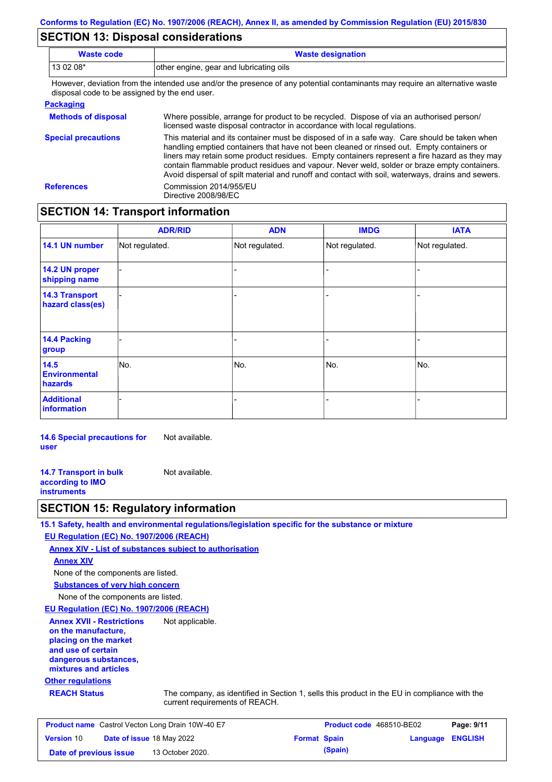### **SECTION 13: Disposal considerations**

| <b>Waste code</b>                                                                                                           | <b>Waste designation</b>                |  |
|-----------------------------------------------------------------------------------------------------------------------------|-----------------------------------------|--|
| $130208*$                                                                                                                   | other engine, gear and lubricating oils |  |
| However, deviation from the intended use and/or the presence of any potential contaminants may require an alternative waste |                                         |  |

However, deviation from the intended use and/or the presence of any potential contaminants may req disposal code to be assigned by the end user.

#### **Packaging**

| <b>Methods of disposal</b> | Where possible, arrange for product to be recycled. Dispose of via an authorised person/<br>licensed waste disposal contractor in accordance with local regulations.                                                                                                                                                                                                                                                                                                                            |
|----------------------------|-------------------------------------------------------------------------------------------------------------------------------------------------------------------------------------------------------------------------------------------------------------------------------------------------------------------------------------------------------------------------------------------------------------------------------------------------------------------------------------------------|
| <b>Special precautions</b> | This material and its container must be disposed of in a safe way. Care should be taken when<br>handling emptied containers that have not been cleaned or rinsed out. Empty containers or<br>liners may retain some product residues. Empty containers represent a fire hazard as they may<br>contain flammable product residues and vapour. Never weld, solder or braze empty containers.<br>Avoid dispersal of spilt material and runoff and contact with soil, waterways, drains and sewers. |
| <b>References</b>          | Commission 2014/955/EU<br>Directive 2008/98/EC                                                                                                                                                                                                                                                                                                                                                                                                                                                  |

## **SECTION 14: Transport information**

|                                           | <b>ADR/RID</b> | <b>ADN</b>     | <b>IMDG</b>    | <b>IATA</b>    |
|-------------------------------------------|----------------|----------------|----------------|----------------|
| 14.1 UN number                            | Not regulated. | Not regulated. | Not regulated. | Not regulated. |
| 14.2 UN proper<br>shipping name           |                |                | -              |                |
| <b>14.3 Transport</b><br>hazard class(es) |                |                | $\blacksquare$ |                |
| 14.4 Packing<br>group                     |                |                | -              |                |
| $14.5$<br><b>Environmental</b><br>hazards | No.            | No.            | No.            | No.            |
| <b>Additional</b><br>information          |                |                |                |                |

**14.6 Special precautions for user** Not available.

**14.7 Transport in bulk according to IMO instruments** Not available.

### **SECTION 15: Regulatory information**

**15.1 Safety, health and environmental regulations/legislation specific for the substance or mixture**

#### **EU Regulation (EC) No. 1907/2006 (REACH)**

**Annex XIV - List of substances subject to authorisation**

#### **Annex XIV**

None of the components are listed.

**Substances of very high concern**

None of the components are listed.

#### **EU Regulation (EC) No. 1907/2006 (REACH)**

**Annex XVII - Restrictions on the manufacture, placing on the market and use of certain dangerous substances, mixtures and articles** Not applicable.

### **Other regulations**

**REACH Status** The company, as identified in Section 1, sells this product in the EU in compliance with the current requirements of REACH.

| <b>Product name</b> Castrol Vecton Long Drain 10W-40 E7 |  | <b>Product code</b> 468510-BE02 |                     | Page: 9/11 |                         |  |
|---------------------------------------------------------|--|---------------------------------|---------------------|------------|-------------------------|--|
| <b>Version 10</b>                                       |  | Date of issue 18 May 2022       | <b>Format Spain</b> |            | <b>Language ENGLISH</b> |  |
| Date of previous issue                                  |  | 13 October 2020.                |                     | (Spain)    |                         |  |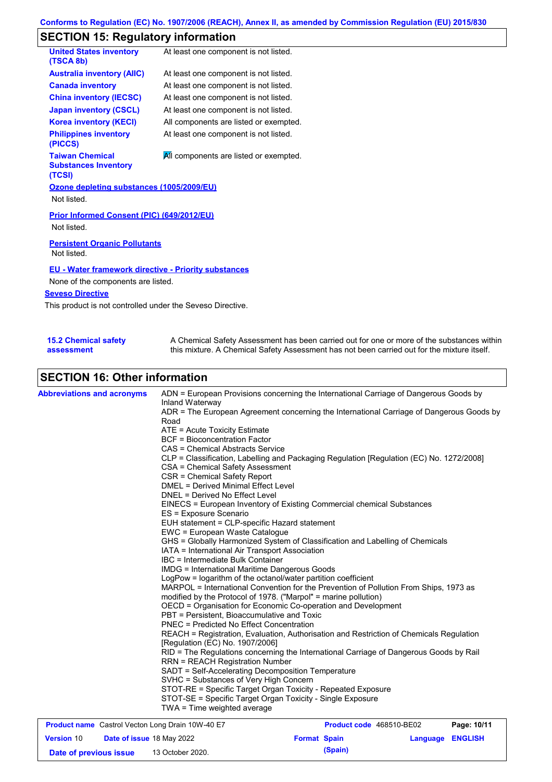# **SECTION 15: Regulatory information**

| <b>United States inventory</b><br>(TSCA 8b)                     | At least one component is not listed.  |
|-----------------------------------------------------------------|----------------------------------------|
| <b>Australia inventory (AIIC)</b>                               | At least one component is not listed.  |
| <b>Canada inventory</b>                                         | At least one component is not listed.  |
| <b>China inventory (IECSC)</b>                                  | At least one component is not listed.  |
| <b>Japan inventory (CSCL)</b>                                   | At least one component is not listed.  |
| <b>Korea inventory (KECI)</b>                                   | All components are listed or exempted. |
| <b>Philippines inventory</b><br>(PICCS)                         | At least one component is not listed.  |
| <b>Taiwan Chemical</b><br><b>Substances Inventory</b><br>(TCSI) | All components are listed or exempted. |
| Ozone depleting substances (1005/2009/EU)                       |                                        |
| Not listed.                                                     |                                        |
| Prior Informed Consent (PIC) (649/2012/EU)<br>Not listed.       |                                        |
| <b>Persistent Organic Pollutants</b><br>Not listed.             |                                        |
| <b>EU - Water framework directive - Priority substances</b>     |                                        |
| None of the components are listed.                              |                                        |
| <b>Seveso Directive</b>                                         |                                        |

This product is not controlled under the Seveso Directive.

| <b>15.2 Chemical safety</b> | A Chemical Safety Assessment has been carried out for one or more of the substances within  |
|-----------------------------|---------------------------------------------------------------------------------------------|
| assessment                  | this mixture. A Chemical Safety Assessment has not been carried out for the mixture itself. |

# **SECTION 16: Other information**

| <b>Abbreviations and acronyms</b> | ADN = European Provisions concerning the International Carriage of Dangerous Goods by<br>Inland Waterway<br>ADR = The European Agreement concerning the International Carriage of Dangerous Goods by<br>Road<br>ATE = Acute Toxicity Estimate<br><b>BCF = Bioconcentration Factor</b><br>CAS = Chemical Abstracts Service<br>CLP = Classification, Labelling and Packaging Regulation [Regulation (EC) No. 1272/2008]<br>CSA = Chemical Safety Assessment<br>CSR = Chemical Safety Report<br><b>DMEL = Derived Minimal Effect Level</b><br>DNEL = Derived No Effect Level<br>EINECS = European Inventory of Existing Commercial chemical Substances<br>ES = Exposure Scenario<br>EUH statement = CLP-specific Hazard statement<br>EWC = European Waste Catalogue<br>GHS = Globally Harmonized System of Classification and Labelling of Chemicals<br>IATA = International Air Transport Association<br>IBC = Intermediate Bulk Container<br><b>IMDG</b> = International Maritime Dangerous Goods<br>LogPow = logarithm of the octanol/water partition coefficient<br>MARPOL = International Convention for the Prevention of Pollution From Ships, 1973 as<br>modified by the Protocol of 1978. ("Marpol" = marine pollution)<br>OECD = Organisation for Economic Co-operation and Development<br>PBT = Persistent, Bioaccumulative and Toxic<br><b>PNEC = Predicted No Effect Concentration</b><br>REACH = Registration, Evaluation, Authorisation and Restriction of Chemicals Regulation<br>[Regulation (EC) No. 1907/2006]<br>RID = The Regulations concerning the International Carriage of Dangerous Goods by Rail<br><b>RRN = REACH Registration Number</b><br>SADT = Self-Accelerating Decomposition Temperature<br>SVHC = Substances of Very High Concern<br>STOT-RE = Specific Target Organ Toxicity - Repeated Exposure |
|-----------------------------------|------------------------------------------------------------------------------------------------------------------------------------------------------------------------------------------------------------------------------------------------------------------------------------------------------------------------------------------------------------------------------------------------------------------------------------------------------------------------------------------------------------------------------------------------------------------------------------------------------------------------------------------------------------------------------------------------------------------------------------------------------------------------------------------------------------------------------------------------------------------------------------------------------------------------------------------------------------------------------------------------------------------------------------------------------------------------------------------------------------------------------------------------------------------------------------------------------------------------------------------------------------------------------------------------------------------------------------------------------------------------------------------------------------------------------------------------------------------------------------------------------------------------------------------------------------------------------------------------------------------------------------------------------------------------------------------------------------------------------------------------------------------------------------------------------------------------------------|
|                                   | STOT-SE = Specific Target Organ Toxicity - Single Exposure<br>TWA = Time weighted average                                                                                                                                                                                                                                                                                                                                                                                                                                                                                                                                                                                                                                                                                                                                                                                                                                                                                                                                                                                                                                                                                                                                                                                                                                                                                                                                                                                                                                                                                                                                                                                                                                                                                                                                          |

| <b>Product name</b> Castrol Vecton Long Drain 10W-40 E7 |  | <b>Product code</b> 468510-BE02  |                     | Page: 10/11 |                         |  |
|---------------------------------------------------------|--|----------------------------------|---------------------|-------------|-------------------------|--|
| <b>Version 10</b>                                       |  | <b>Date of issue 18 May 2022</b> | <b>Format Spain</b> |             | <b>Language ENGLISH</b> |  |
| Date of previous issue                                  |  | 13 October 2020.                 |                     | (Spain)     |                         |  |